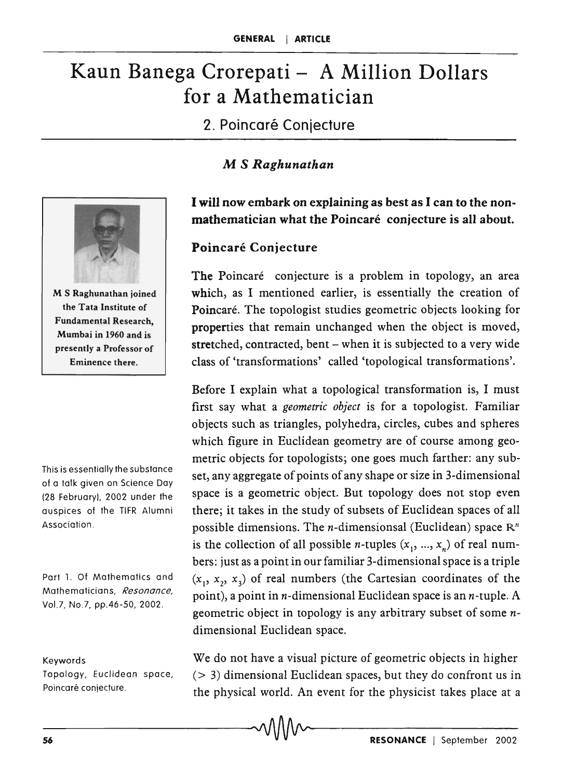# Kaun Banega Crorepati - A Million Dollars for a Mathematician

2. Poincaré Conjecture

## M S *Raghunathan*



M S Raghunathan joined the Tata Institute of Fundamental Research, Mumbai in 1960 and is presently a Professor of Eminence there.

This is essentially the substance of a talk given on Science Day (28 February), 2002 under the auspices of the TlFR Alumni Association .

Part 1. Of Mathematics and Mathematicians, *Resonance,*  Vo!.7, No.7, pp.46-50, 2002.

#### Keywords

Topology, Euclidean space, Poincaré conjecture.

I will now embark on explaining as best as I can to the nonmathematician what the Poincaré conjecture is all about.

#### Poincaré Conjecture

The Poincaré conjecture is a problem in topology, an area which, as I mentioned earlier, is essentially the creation of Poincaré. The topologist studies geometric objects looking for properties that remain unchanged when the object is moved, stretched, contracted, bent - when it is subjected to a very wide class of 'transformations' called 'topological transformations'.

Before I explain what a topological transformation is, I must first say what a *geometric object* is for a topologist. Familiar objects such as triangles, polyhedra, circles, cubes and spheres which figure in Euclidean geometry are of course among geometric objects for topologists; one goes much farther: any subset, any aggregate of points of any shape or size in 3-dimensional space is a geometric object. But topology does not stop even there; it takes in the study of subsets of Euclidean spaces of all possible dimensions. The *n*-dimensionsal (Euclidean) space  $\mathbb{R}^n$ is the collection of all possible *n*-tuples  $(x_1, ..., x_n)$  of real numbers: just as a point in our familiar 3-dimensional space is a triple  $(x_1, x_2, x_3)$  of real numbers (the Cartesian coordinates of the point), a point in *n*-dimensional Euclidean space is an *n*-tuple. A geometric object in topology is any arbitrary subset of some  $n$ dimensional Euclidean space.

We do not have a visual picture of geometric objects in higher  $(> 3)$  dimensional Euclidean spaces, but they do confront us in the physical world. An event for the physicist takes place at a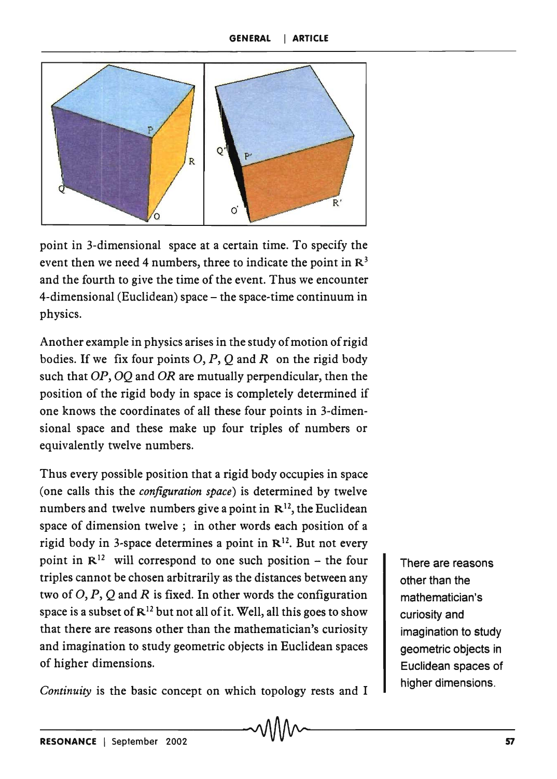

point in 3-dimensional space at a certain time. To specify the event then we need 4 numbers, three to indicate the point in  $\mathbb{R}^3$ and the fourth to give the time of the event. Thus we encounter 4-dimensional (Euclidean) space – the space-time continuum in physics.

Another example in physics arises in the study of motion of rigid bodies. If we fix four points 0, *P,* Q and *R* on the rigid body such that OP, OO and OR are mutually perpendicular, then the position of the rigid body in space is completely determined if one knows the coordinates of all these four points in 3-dimensional space and these make up four triples of numbers or equivalently twelve numbers.

Thus every possible position that a rigid body occupies in space (one calls this the *configuration space)* is determined by twelve numbers and twelve numbers give a point in  $\mathbb{R}^{12}$ , the Euclidean space of dimension twelve; in other words each position of a rigid body in 3-space determines a point in  $\mathbb{R}^{12}$ . But not every point in  $\mathbb{R}^{12}$  will correspond to one such position – the four triples cannot be chosen arbitrarily as the distances between any two of  $O, P, Q$  and R is fixed. In other words the configuration space is a subset of  $\mathbb{R}^{12}$  but not all of it. Well, all this goes to show that there are reasons other than the mathematician's curiosity and imagination to study geometric objects in Euclidean spaces of higher dimensions.

*Continuity* is the basic concept on which topology rests and I

There are reasons other than the mathematician's curiosity and imagination to study geometric objects in Euclidean spaces of higher dimensions.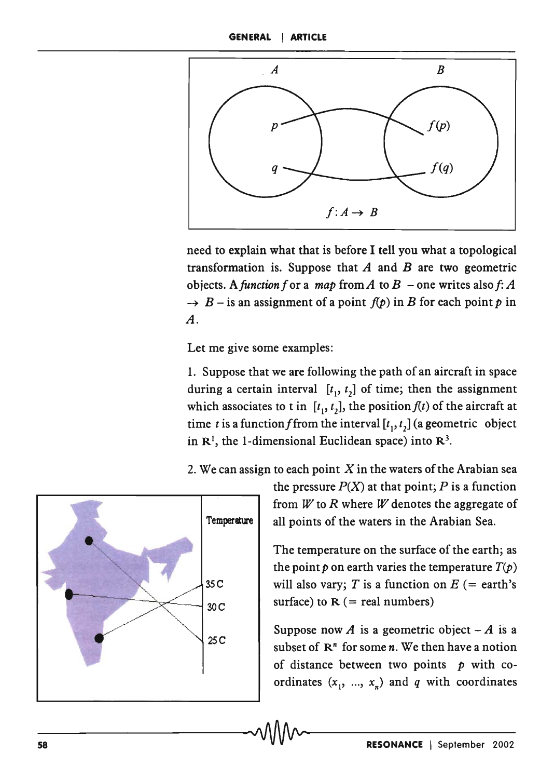

need to explain what that is before I tell you what a topological transformation is. Suppose that *A* and *B* are two geometric objects. A function f or a *map* from A to  $B$  – one writes also f: A  $\rightarrow$  *B* – is an assignment of a point  $f(p)$  in *B* for each point *p* in *A.* 

Let me give some examples:

1. Suppose that we are following the path of an aircraft in space during a certain interval  $[t_1, t_2]$  of time; then the assignment which associates to t in  $[t_1, t_2]$ , the position  $f(t)$  of the aircraft at time *t* is a function f from the interval  $[t_1, t_2]$  (a geometric object in  $\mathbb{R}^1$ , the 1-dimensional Euclidean space) into  $\mathbb{R}^3$ .

2. We can assign to each point  $X$  in the waters of the Arabian sea



the pressure  $P(X)$  at that point; P is a function from *W* to *R* where *W* denotes the aggregate of Temperature | all points of the waters in the Arabian Sea.

> The temperature on the surface of the earth; as the point p on earth varies the temperature  $T(p)$ will also vary; T is a function on  $E$  (= earth's surface) to  $R$  (= real numbers)

> Suppose now *A* is a geometric object  $-A$  is a subset of  $\mathbb{R}^n$  for some *n*. We then have a notion of distance between two points *p* with coordinates  $(x_1, ..., x_n)$  and *q* with coordinates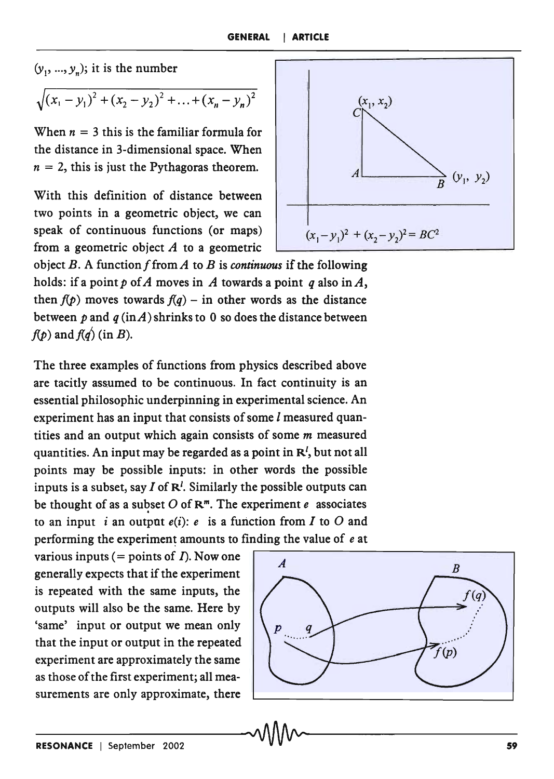$(y_1, ..., y_n)$ ; it is the number

$$
\sqrt{(x_1-y_1)^2+(x_2-y_2)^2+\ldots+(x_n-y_n)^2}
$$

When  $n = 3$  this is the familiar formula for the distance in 3-dimensional space. When  $n = 2$ , this is just the Pythagoras theorem.

With this definition of distance between two points in a geometric object, we can speak of continuous functions (or maps) from a geometric object *A* to a geometric

object  $B$ . A function f from  $A$  to  $B$  is *continuous* if the following holds: if a point  $p$  of A moves in A towards a point  $q$  also in A, then  $f(p)$  moves towards  $f(q)$  – in other words as the distance between  $p$  and  $q$  (in A) shrinks to 0 so does the distance between  $f(p)$  and  $f(q)$  (in B).

The three examples of functions from physics described above are tacitly assumed to be continuous. In fact continuity is an essential philosophic underpinning in experimental science. An experiment has an input that consists of some *1* measured quantities and an output which again consists of some *m* measured quantities. An input may be regarded as a point in  $\mathbb{R}^l$ , but not all points may be possible inputs: in other words the possible inputs is a subset, say  $I$  of  $\mathbb{R}^l$ . Similarly the possible outputs can be thought of as a subset  $O$  of  $\mathbb{R}^m$ . The experiment  $e$  associates to an input i an output  $e(i)$ : e is a function from I to O and

various inputs (= points of  $\Gamma$ ). Now one is repeated with the same inputs, the outputs will also be the same. Here by 'same' input or output we mean only that the input or output in the repeated experiment are approximately the same as those of the first experiment; all measurements are only approximate, there



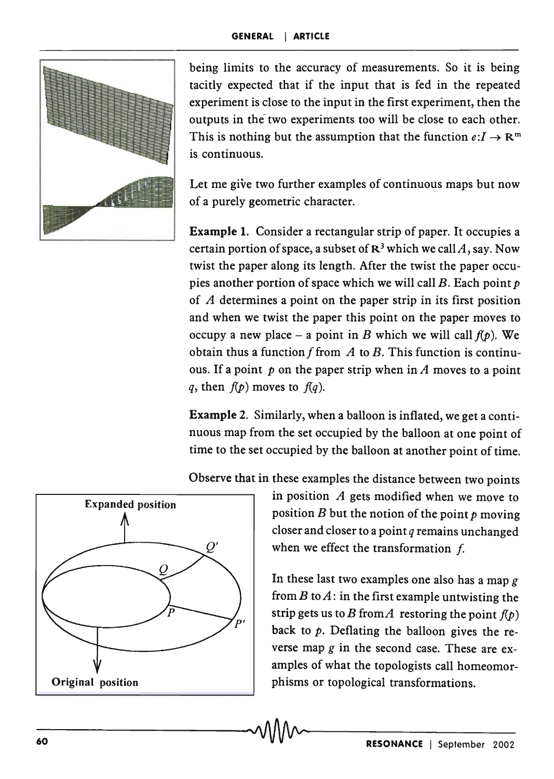

being limits to the accuracy of measurements. So it is being tacitly expected that if the input that is fed in the repeated experiment is close to the input in the first experiment, then the outputs in the two experiments too will be close to each other. This is nothing but the assumption that the function  $e: I \to \mathbb{R}^m$ is continuous.

Let me give two further examples of continuous maps but now of a purely geometric character.

Example 1. Consider a rectangular strip of paper. It occupies a certain portion of space, a subset of  $\mathbb{R}^3$  which we call A, say. Now twist the paper along its length. After the twist the paper occupies another portion of space which we will call  $B$ . Each point  $p$ of  $A$  determines a point on the paper strip in its first position and when we twist the paper this point on the paper moves to occupy a new place – a point in B which we will call  $f(p)$ . We obtain thus a function  $f$  from  $A$  to  $B$ . This function is continuous. If a point  $p$  on the paper strip when in  $A$  moves to a point *q*, then  $f(p)$  moves to  $f(q)$ .

Example 2. Similarly, when a balloon is inflated, we get a continuous map from the set occupied by the balloon at one point of time to the set occupied by the balloon at another point of time.



Observe that in these examples the distance between two points

in position  $A$  gets modified when we move to position B but the notion of the point *p* moving closer and closer to a point *q* remains unchanged when we effect the transformation  $f$ .

In these last two examples one also has a map *g*  from *B* to *A:* in the first example untwisting the strip gets us to B from A restoring the point  $f(p)$ back to  $p$ . Deflating the balloon gives the reverse map *g* in the second case. These are examples of what the topologists call homeomorphisms or topological transformations.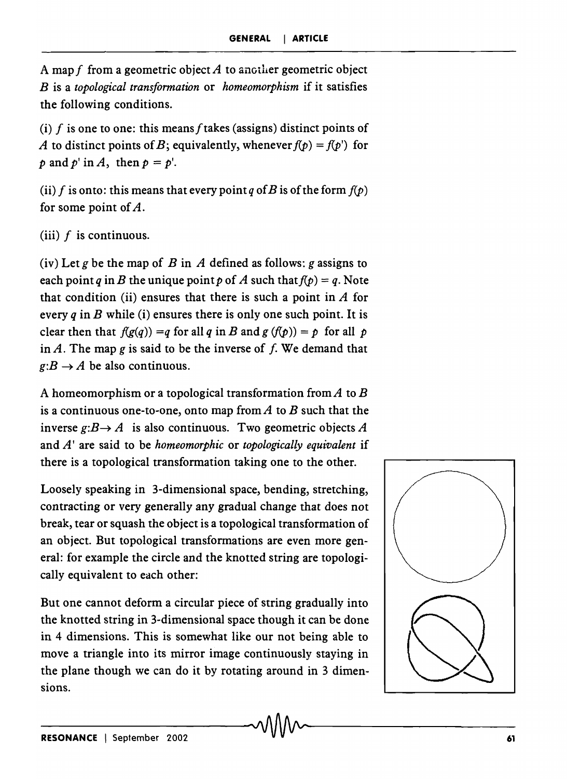A mapf from a geometric object *A* to another geometric object *B* is a *topological transformation* or *homeomorphism* if it satisfies the following conditions.

(i) f is one to one: this means f takes (assigns) distinct points of A to distinct points of B; equivalently, whenever  $f(p) = f(p')$  for  $p$  and  $p'$  in  $A$ , then  $p = p'$ .

(ii) f is onto: this means that every point *q* of B is of the form  $f(p)$ for some point of  $A$ .

(iii)  $f$  is continuous.

(iv) Let  $g$  be the map of  $B$  in  $A$  defined as follows:  $g$  assigns to each point *q* in *B* the unique point *p* of *A* such that  $f(p) = q$ . Note that condition (ii) ensures that there is such a point in  $A$  for every  $q$  in  $B$  while (i) ensures there is only one such point. It is clear then that  $f(g(q)) = q$  for all q in B and  $g(f(p)) = p$  for all p in  $A$ . The map  $g$  is said to be the inverse of  $f$ . We demand that  $g: B \to A$  be also continuous.

A homeomorphism or a topological transformation from *A* to *B*  is a continuous one-to-one, onto map from *A* to *B* such that the inverse  $g: B \to A$  is also continuous. Two geometric objects A and *A'* are said to be *homeomorphic* or *topologically equivalent* if there is a topological transformation taking one to the other.

Loosely speaking in 3-dimensional space, bending, stretching, contracting or very generally any gradual change that does not break, tear or squash the object is a topological transformation of an object. But topological transformations are even more general: for example the circle and the knotted string are topologically equivalent to each other:

But one cannot deform a circular piece of string gradually into the knotted string in 3-dimensional space though it can be done in 4 dimensions. This is somewhat like our not being able to move a triangle into its mirror image continuously staying in the plane though we can do it by rotating around in 3 dimensions.

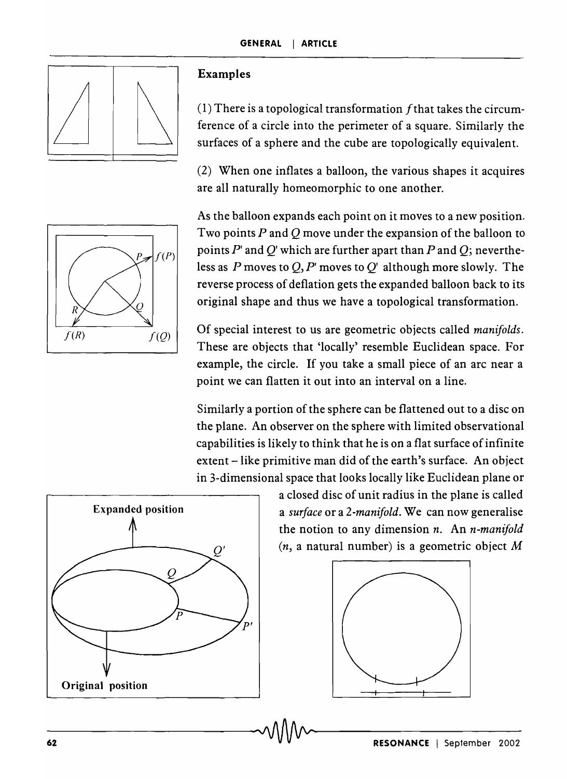

### Examples

(1) There is a topological transformation  $f$  that takes the circumference of a circle into the perimeter of a square. Similarly the surfaces of a sphere and the cube are topologically equivalent.

(2) When one inflates a balloon, the various shapes it acquires are all naturally homeomorphic to one another.



As the balloon expands each point on it moves to a new position. Two points  $P$  and  $Q$  move under the expansion of the balloon to points  $P'$  and  $Q'$  which are further apart than  $P$  and  $Q$ ; nevertheless as P moves to  $Q, P'$  moves to  $Q'$  although more slowly. The reverse process of deflation gets the expanded balloon back to its original shape and thus we have a topological transformation.

Of special interest to us are geometric objects called *manifolds.*  These are objects that 'locally' resemble Euclidean space. For example, the circle. If you take a small piece of an arc near a point we can flatten it out into an interval on a line.

Similarly a portion of the sphere can be flattened out to a disc on the plane. An observer on the sphere with limited observational capabilities is likely to think that he is on a flat surface of infinite extent – like primitive man did of the earth's surface. An object in 3-dimensional space that looks locally like Euclidean plane or



a closed disc of unit radius in the plane is called a *surface* or a *2-manifold.* We can now generalise the notion to any dimension *n.* An *n-manifold*  (n, a natural number) is a geometric object *M* 

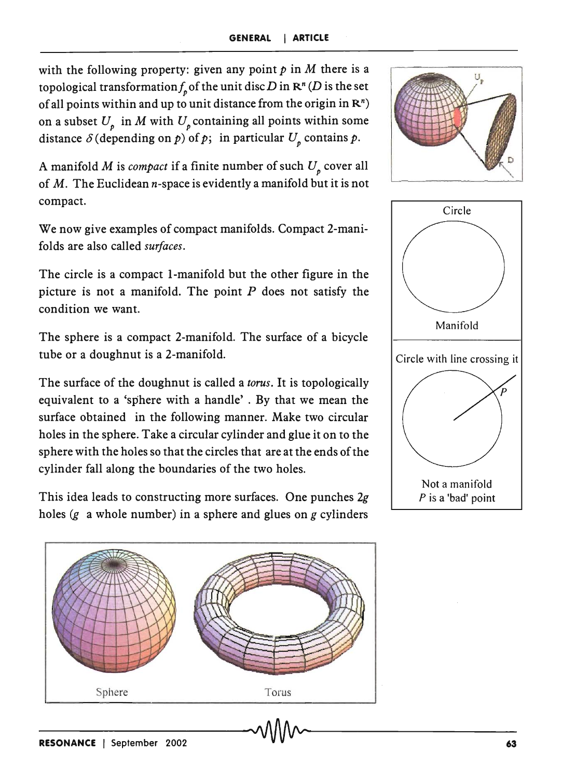with the following property: given any point  $p$  in M there is a topological transformation  $f_{\alpha}$  of the unit disc *D* in  $\mathbb{R}^n$  (*D* is the set of all points within and up to unit distance from the origin in  $\mathbb{R}^n$ ) on a subset  $U<sub>n</sub>$  in M with  $U<sub>n</sub>$  containing all points within some distance  $\delta$  (depending on p) of p; in particular  $U_p$  contains p.

A manifold  $M$  is *compact* if a finite number of such  $U_p$  cover all of  $M$ . The Euclidean *n*-space is evidently a manifold but it is not compact.

We now give examples of compact manifolds. Compact 2-manifolds are also called *surfaces.* 

The circle is a compact I-manifold but the other figure in the picture is not a manifold. The point  $P$  does not satisfy the condition we want.

The sphere is a compact 2-manifold. The surface of a bicycle tube or a doughnut is a 2-manifold.

The surface of the doughnut is called a *torus.* It is topologically equivalent to a 'sphere with a handle' . By that we mean the surface obtained in the following manner. Make two circular holes in the sphere. Take a circular cylinder and glue it on to the sphere with the holes so that the circles that are at the ends of the cylinder fall along the boundaries of the two holes.

This idea leads to constructing more surfaces. One punches *2g*  holes (g a whole number) in a sphere and glues on *g* cylinders





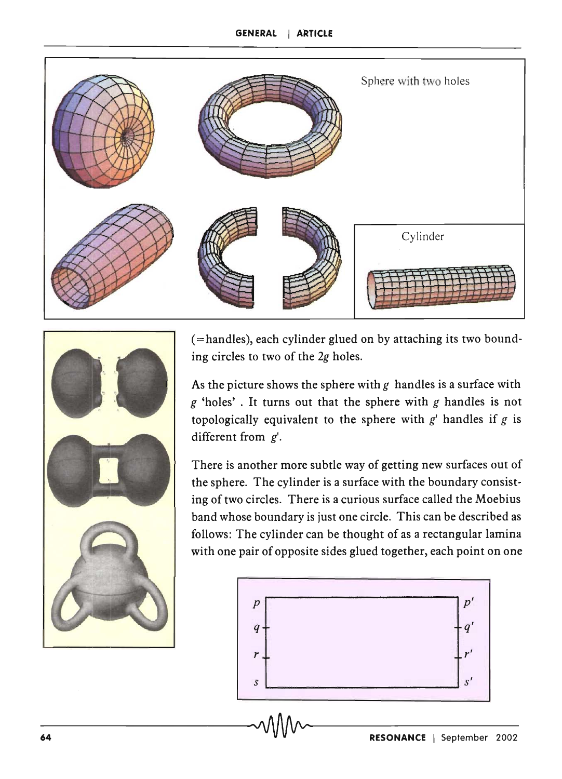



(=handles), each cylinder glued on by attaching its two bounding circles to two of the *2g* holes.

As the picture shows the sphere with *g* handles is a surface with *g* 'holes' . It turns out that the sphere with *g* handles is not topologically equivalent to the sphere with  $g'$  handles if  $g$  is different from  $g'$ .

There is another more subtle way of getting new surfaces out of the sphere. The cylinder is a surface with the boundary consisting of two circles. There is a curious surface called the Moebius band whose boundary is just one circle. This can be described as follows: The cylinder can be thought of as a rectangular lamina with one pair of opposite sides glued together, each point on one

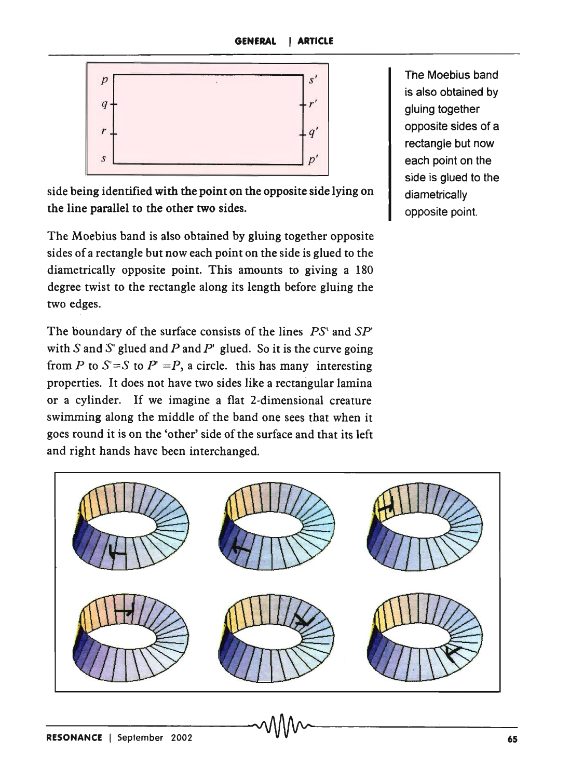

The Moebius band is also obtained by gluing together opposite sides of a rectangle but now each point on the side is glued to the diametrically opposite point.

side being identified with the point on the opposite side lying on the line parallel to the other two sides.

The Moebius band is also obtained by gluing together opposite sides of a rectangle but now each point on the side is glued to the diametrically opposite point. This amounts to giving a 180 degree twist to the rectangle along its length before gluing the two edges.

The boundary of the surface consists of the lines *PS'* and *SP'* with S and S' glued and P and P' glued. So it is the curve going from *P* to  $S' = S$  to  $P' = P$ , a circle. this has many interesting properties. It does not have two sides like a rectangular lamina or a cylinder. If we imagine a flat 2-dimensional creature swimming along the middle of the band one sees that when it goes round it is on the 'other' side of the surface and that its left and right hands have been interchanged.

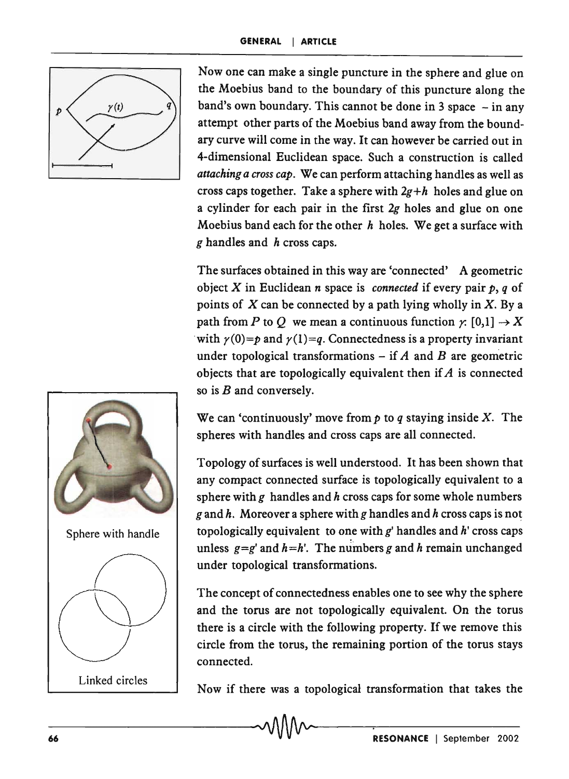

Now one can make a single puncture in the sphere and glue on the Moebius band to the boundary of this puncture along the band's own boundary. This cannot be done in 3 space  $-$  in any attempt other parts of the Moebius band away from the boundary curve will come in the way. It can however be carried out in 4-dimensional Euclidean space. Such a construction is called *attaching a cross cap.* We can perform attaching handles as well as cross caps together. Take a sphere with *2g+h* holes and glue on a cylinder for each pair in the first *2g* holes and glue on one Moebius band each for the other *h* holes. We get a surface with *g* handles and *h* cross caps.

The surfaces obtained in this way are 'connected' A geometric object X in Euclidean *n* space is *connected* if every pair *p, q* of points of  $X$  can be connected by a path lying wholly in  $X$ . By a path from P to Q we mean a continuous function  $\chi$ : [0,1]  $\rightarrow$  X with  $\gamma(0)=p$  and  $\gamma(1)=q$ . Connectedness is a property invariant under topological transformations  $-$  if  $A$  and  $B$  are geometric objects that are topologically equivalent then if *A* is connected so is  $B$  and conversely.

We can 'continuously' move from  $p$  to  $q$  staying inside X. The spheres with handles and cross caps are all connected.

Topology of surfaces is well understood. It has been shown that any compact connected surface is topologically equivalent to a sphere with *g* handles and *h* cross caps for some whole numbers *g* and *h*. Moreover a sphere with *g* handles and *h* cross caps is not topologically equivalent to one with *g'* handles and h' cross caps unless  $g = g'$  and  $h = h'$ . The numbers g and h remain unchanged under topological transformations.

The concept of connectedness enables one to see why the sphere and the torus are not topologically equivalent. On the torus there is a circle with the following property. If we remove this circle from the torus, the remaining portion of the torus stays connected.

Now if there was a topological transformation that takes the

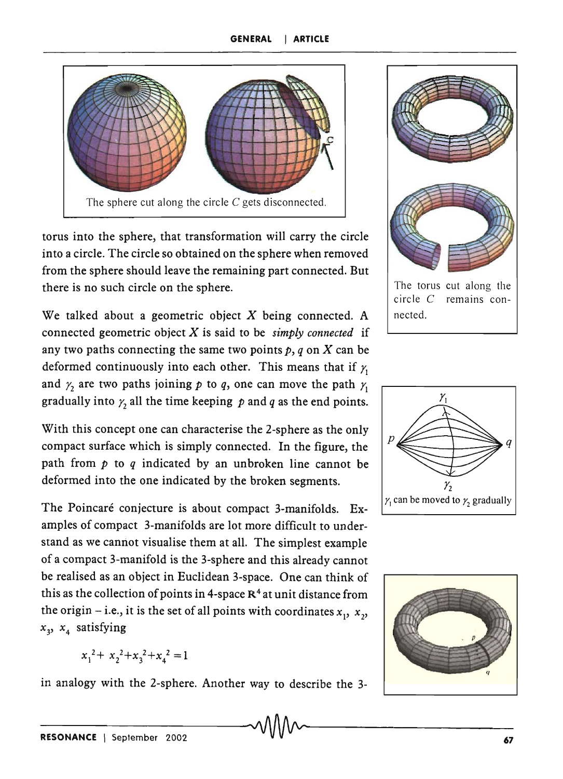

torus into the sphere, that transformation will carry the circle into a circle. The circle so obtained on the sphere when removed from the sphere should leave the remaining part connected. But there is no such circle on the sphere.

We talked about a geometric object  $X$  being connected. A connected geometric object X is said to be *simply connected* if any two paths connecting the same two points  $p, q$  on X can be deformed continuously into each other. This means that if  $\chi$ and  $\gamma$  are two paths joining  $p$  to  $q$ , one can move the path  $\gamma$ gradually into  $y_2$  all the time keeping  $p$  and  $q$  as the end points.

With this concept one can characterise the 2-sphere as the only compact surface which is simply connected. In the figure, the path from p to *q* indicated by an unbroken line cannot be deformed into the one indicated by the broken segments.

The Poincaré conjecture is about compact 3-manifolds. Examples of compact 3-manifolds are lot more difficult to understand as we cannot visualise them at all. The simplest example of a compact 3-manifold is the 3-sphere and this already cannot be realised as an object in Euclidean 3-space. One can think of this as the collection of points in 4-space  $R<sup>4</sup>$  at unit distance from the origin – i.e., it is the set of all points with coordinates  $x_1, x_2$ , *x3' x4* satisfying

 $x_1^2 + x_2^2 + x_3^2 + x_4^2 = 1$ 

in analogy with the 2-sphere. Another way to describe the 3-



circle C remains connected.